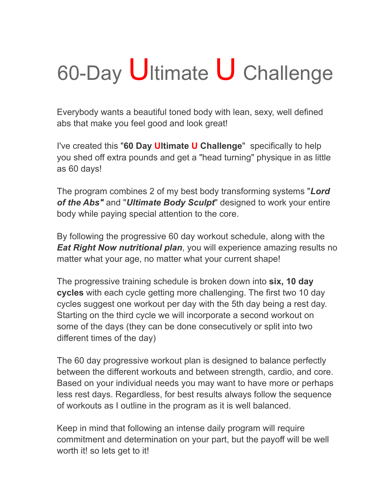# 60-Day Ultimate U Challenge

Everybody wants a beautiful toned body with lean, sexy, well defined abs that make you feel good and look great!

I've created this "**60 Day Ultimate U Challenge**" specifically to help you shed off extra pounds and get a "head turning" physique in as little as 60 days!

The program combines 2 of my best body transforming systems "*Lord of the Abs"* and "*Ultimate Body Sculpt*" designed to work your entire body while paying special attention to the core.

By following the progressive 60 day workout schedule, along with the *Eat Right Now nutritional plan*, you will experience amazing results no matter what your age, no matter what your current shape!

The progressive training schedule is broken down into **six, 10 day cycles** with each cycle getting more challenging. The first two 10 day cycles suggest one workout per day with the 5th day being a rest day. Starting on the third cycle we will incorporate a second workout on some of the days (they can be done consecutively or split into two different times of the day)

The 60 day progressive workout plan is designed to balance perfectly between the different workouts and between strength, cardio, and core. Based on your individual needs you may want to have more or perhaps less rest days. Regardless, for best results always follow the sequence of workouts as I outline in the program as it is well balanced.

Keep in mind that following an intense daily program will require commitment and determination on your part, but the payoff will be well worth it! so lets get to it!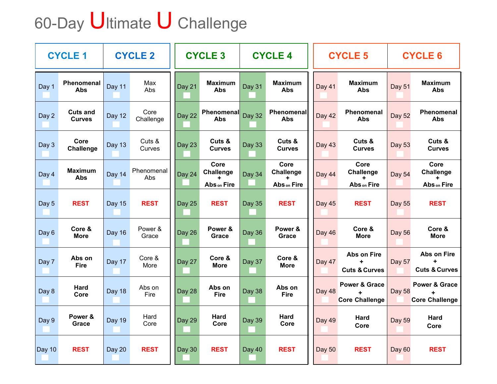## 60-Day Ultimate U Challenge

| <b>CYCLE 1</b> |                                  | <b>CYCLE 2</b> |                   | <b>CYCLE 3</b> |                                         | <b>CYCLE 4</b> |                                  | <b>CYCLE 5</b> |                                                                 | <b>CYCLE 6</b> |                                                                |
|----------------|----------------------------------|----------------|-------------------|----------------|-----------------------------------------|----------------|----------------------------------|----------------|-----------------------------------------------------------------|----------------|----------------------------------------------------------------|
| Day 1          | <b>Phenomenal</b><br><b>Abs</b>  | Day 11         | Max<br>Abs        | Day 21         | <b>Maximum</b><br><b>Abs</b>            | Day 31         | <b>Maximum</b><br><b>Abs</b>     | Day 41         | <b>Maximum</b><br>Abs                                           | Day 51         | <b>Maximum</b><br><b>Abs</b>                                   |
| Day 2          | <b>Cuts and</b><br><b>Curves</b> | Day 12         | Core<br>Challenge | Day 22         | <b>Phenomenal</b><br><b>Abs</b>         | <b>Day 32</b>  | Phenomenal<br><b>Abs</b>         | Day 42         | Phenomenal<br><b>Abs</b>                                        | <b>Day 52</b>  | Phenomenal<br><b>Abs</b>                                       |
| Day 3          | Core<br><b>Challenge</b>         | Day 13         | Cuts &<br>Curves  | Day 23         | Cuts &<br><b>Curves</b>                 | <b>Day 33</b>  | Cuts &<br><b>Curves</b>          | <b>Day 43</b>  | Cuts &<br><b>Curves</b>                                         | <b>Day 53</b>  | Cuts &<br><b>Curves</b>                                        |
| Day 4          | <b>Maximum</b><br><b>Abs</b>     | Day 14         | Phenomenal<br>Abs | Day 24         | Core<br><b>Challenge</b><br>Abs on Fire | Day 34         | Core<br>Challenge<br>Abs on Fire | Day 44         | Core<br>Challenge<br>Abs on Fire                                | <b>Day 54</b>  | Core<br><b>Challenge</b><br>Abs on Fire                        |
| Day 5          | <b>REST</b>                      | <b>Day 15</b>  | <b>REST</b>       | <b>Day 25</b>  | <b>REST</b>                             | Day 35         | <b>REST</b>                      | Day 45         | <b>REST</b>                                                     | Day 55         | <b>REST</b>                                                    |
| Day 6          | Core &<br><b>More</b>            | Day 16         | Power &<br>Grace  | Day 26         | Power &<br>Grace                        | Day 36         | Power &<br>Grace                 | Day 46         | Core &<br><b>More</b>                                           | <b>Day 56</b>  | Core &<br><b>More</b>                                          |
| Day 7          | Abs on<br><b>Fire</b>            | Day 17         | Core &<br>More    | Day 27         | Core &<br><b>More</b>                   | Day 37         | Core &<br><b>More</b>            | Day 47         | Abs on Fire<br>÷<br><b>Cuts &amp; Curves</b>                    | Day 57         | Abs on Fire<br><b>Cuts &amp; Curves</b>                        |
| Day 8          | <b>Hard</b><br>Core              | Day 18         | Abs on<br>Fire    | Day 28         | Abs on<br><b>Fire</b>                   | Day 38         | Abs on<br><b>Fire</b>            | Day 48         | <b>Power &amp; Grace</b><br>$\ddot{+}$<br><b>Core Challenge</b> | <b>Day 58</b>  | <b>Power &amp; Grace</b><br>$\ddot{}$<br><b>Core Challenge</b> |
| Day 9          | Power &<br>Grace                 | Day 19         | Hard<br>Core      | Day 29         | Hard<br>Core                            | Day 39         | Hard<br>Core                     | Day 49         | Hard<br>Core                                                    | <b>Day 59</b>  | <b>Hard</b><br>Core                                            |
| Day 10         | <b>REST</b>                      | Day 20         | <b>REST</b>       | Day 30         | <b>REST</b>                             | Day 40         | <b>REST</b>                      | Day 50         | <b>REST</b>                                                     | <b>Day 60</b>  | <b>REST</b>                                                    |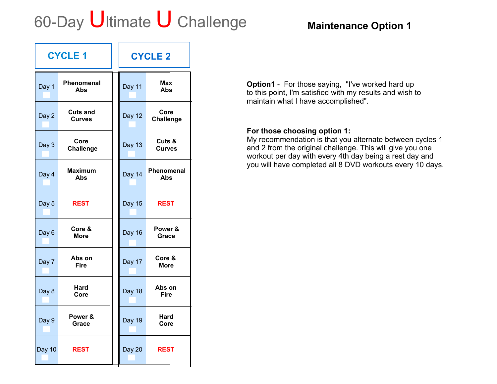### 60-Day Ultimate U Challenge **Maintenance Option 1**

|               | <b>CYCLE 1</b>                   | <b>CYCLE 2</b> |                          |  |  |
|---------------|----------------------------------|----------------|--------------------------|--|--|
| Day 1         | Phenomenal<br>Abs                | Day 11         | Max<br><b>Abs</b>        |  |  |
| Day 2         | <b>Cuts and</b><br><b>Curves</b> | Day 12         | Core<br>Challenge        |  |  |
| Day 3         | Core<br><b>Challenge</b>         | <b>Day 13</b>  | Cuts &<br><b>Curves</b>  |  |  |
| Day 4         | <b>Maximum</b><br>Abs            | Day 14         | <b>Phenomenal</b><br>Abs |  |  |
| Day 5         | <b>REST</b>                      | <b>Day 15</b>  | <b>REST</b>              |  |  |
| Day 6         | Core &<br><b>More</b>            | Day 16         | Power &<br>Grace         |  |  |
| Day 7         | Abs on<br><b>Fire</b>            | Day 17         | Core &<br><b>More</b>    |  |  |
| Day 8         | Hard<br>Core                     | Day 18         | Abs on<br>Fire           |  |  |
| Day 9         | Power &<br>Grace                 | <b>Day 19</b>  | Hard<br>Core             |  |  |
| <b>Day 10</b> | <b>REST</b>                      | Day 20         | <b>REST</b>              |  |  |

**Option1** - For those saying, "I've worked hard up to this point, I'm satisfied with my results and wish to maintain what I have accomplished".

#### **For those choosing option 1:**

My recommendation is that you alternate between cycles 1 and 2 from the original challenge. This will give you one workout per day with every 4th day being a rest day and you will have completed all 8 DVD workouts every 10 days.